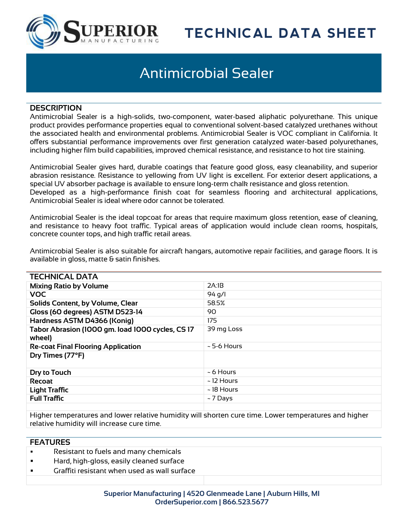

# **TECHNICAL DATA SHEET**

# Antimicrobial Sealer

#### **DESCRIPTION**

Antimicrobial Sealer is a high-solids, two-component, water-based aliphatic polyurethane. This unique product provides performance properties equal to conventional solvent-based catalyzed urethanes without the associated health and environmental problems. Antimicrobial Sealer is VOC compliant in California. It offers substantial performance improvements over first generation catalyzed water-based polyurethanes, including higher film build capabilities, improved chemical resistance, and resistance to hot tire staining.

Antimicrobial Sealer gives hard, durable coatings that feature good gloss, easy cleanability, and superior abrasion resistance. Resistance to yellowing from UV light is excellent. For exterior desert applications, a special UV absorber package is available to ensure long-term chalk resistance and gloss retention. Developed as a high-performance finish coat for seamless flooring and architectural applications, Antimicrobial Sealer is ideal where odor cannot be tolerated.

Antimicrobial Sealer is the ideal topcoat for areas that require maximum gloss retention, ease of cleaning, and resistance to heavy foot traffic. Typical areas of application would include clean rooms, hospitals, concrete counter tops, and high traffic retail areas.

Antimicrobial Sealer is also suitable for aircraft hangars, automotive repair facilities, and garage floors. It is available in gloss, matte  $\theta$  satin finishes.

| <b>TECHNICAL DATA</b>                                     |                  |
|-----------------------------------------------------------|------------------|
| <b>Mixing Ratio by Volume</b>                             | 2A:IB            |
| <b>VOC</b>                                                | $94$ q/l         |
| Solids Content, by Volume, Clear                          | 58.5%            |
| Gloss (60 degrees) ASTM D523-14                           | 90               |
| Hardness ASTM D4366 (Konig)                               | 175              |
| Tabor Abrasion (1000 gm. load 1000 cycles, CS17<br>wheel) | 39 mg Loss       |
| <b>Re-coat Final Flooring Application</b>                 | $\sim$ 5-6 Hours |
| Dry Times (77°F)                                          |                  |
| Dry to Touch                                              | $~5$ Hours       |
| <b>Recoat</b>                                             | ~ 12 Hours       |
| <b>Light Traffic</b>                                      | $\sim$ 18 Hours  |
| <b>Full Traffic</b>                                       | $~-7$ Days       |
|                                                           |                  |

Higher temperatures and lower relative humidity will shorten cure time. Lower temperatures and higher relative humidity will increase cure time.

### **FEATURES**

- Resistant to fuels and many chemicals
- Hard, high-gloss, easily cleaned surface
- Graffiti resistant when used as wall surface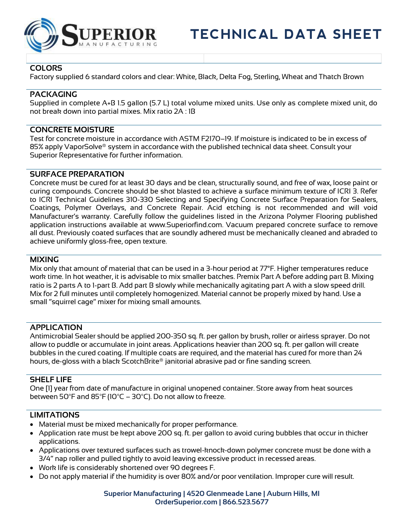

## **COLORS**

Factory supplied 6 standard colors and clear: White, Black, Delta Fog, Sterling, Wheat and Thatch Brown

### **PACKAGING**

Supplied in complete A+B 1.5 gallon (5.7 L) total volume mixed units. Use only as complete mixed unit, do not break down into partial mixes. Mix ratio 2A : 1B

### **CONCRETE MOISTURE**

Test for concrete moisture in accordance with ASTM F2170–19. If moisture is indicated to be in excess of 85% apply VaporSolve® system in accordance with the published technical data sheet. Consult your Superior Representative for further information.

#### **SURFACE PREPARATION**

Concrete must be cured for at least 30 days and be clean, structurally sound, and free of wax, loose paint or curing compounds. Concrete should be shot blasted to achieve a surface minimum texture of ICRI 3. Refer to ICRI Technical Guidelines 310-330 Selecting and Specifying Concrete Surface Preparation for Sealers, Coatings, Polymer Overlays, and Concrete Repair. Acid etching is not recommended and will void Manufacturer's warranty. Carefully follow the guidelines listed in the Arizona Polymer Flooring published application instructions available at www.Superiorfind.com. Vacuum prepared concrete surface to remove all dust. Previously coated surfaces that are soundly adhered must be mechanically cleaned and abraded to achieve uniformly gloss-free, open texture.

### **MIXING**

Mix only that amount of material that can be used in a 3-hour period at 77°F. Higher temperatures reduce work time. In hot weather, it is advisable to mix smaller batches. Premix Part A before adding part B. Mixing ratio is 2 parts A to 1-part B. Add part B slowly while mechanically agitating part A with a slow speed drill. Mix for 2 full minutes until completely homogenized. Material cannot be properly mixed by hand. Use a small "squirrel cage" mixer for mixing small amounts.

#### **APPLICATION**

Antimicrobial Sealer should be applied 200-350 sq. ft. per gallon by brush, roller or airless sprayer. Do not allow to puddle or accumulate in joint areas. Applications heavier than 200 sq. ft. per gallon will create bubbles in the cured coating. If multiple coats are required, and the material has cured for more than 24 hours, de-gloss with a black ScotchBrite® janitorial abrasive pad or fine sanding screen.

#### **SHELF LIFE**

One [1] year from date of manufacture in original unopened container. Store away from heat sources between 50 $\degree$ F and 85 $\degree$ F (10 $\degree$ C – 30 $\degree$ C). Do not allow to freeze.

#### **LIMITATIONS**

- Material must be mixed mechanically for proper performance.
- Application rate must be kept above 200 sq. ft. per gallon to avoid curing bubbles that occur in thicker applications.
- Applications over textured surfaces such as trowel-knock-down polymer concrete must be done with a 3/4" nap roller and pulled tightly to avoid leaving excessive product in recessed areas.
- Work life is considerably shortened over 90 degrees F.
- Do not apply material if the humidity is over 80% and/or poor ventilation. Improper cure will result.

#### **Superior Manufacturing | 4520 Glenmeade Lane | Auburn Hills, MI OrderSuperior.com | 866.523.5677**